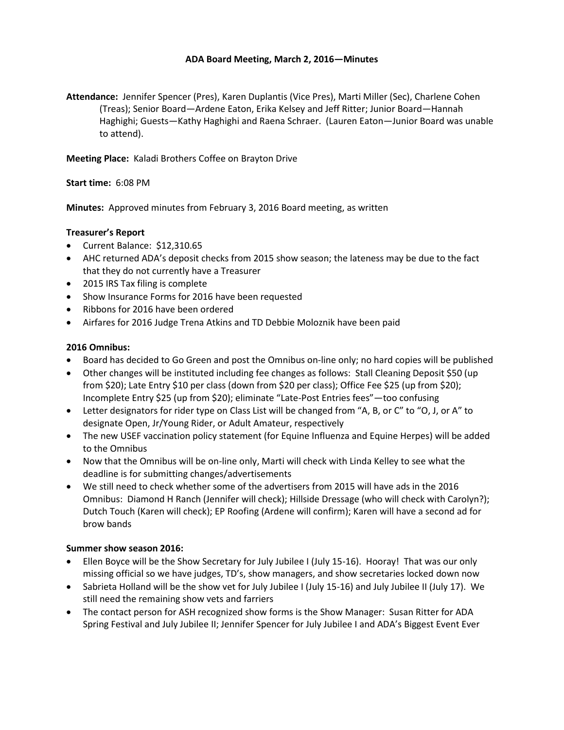## **ADA Board Meeting, March 2, 2016—Minutes**

**Attendance:** Jennifer Spencer (Pres), Karen Duplantis (Vice Pres), Marti Miller (Sec), Charlene Cohen (Treas); Senior Board—Ardene Eaton, Erika Kelsey and Jeff Ritter; Junior Board—Hannah Haghighi; Guests—Kathy Haghighi and Raena Schraer. (Lauren Eaton—Junior Board was unable to attend).

**Meeting Place:** Kaladi Brothers Coffee on Brayton Drive

**Start time:** 6:08 PM

**Minutes:** Approved minutes from February 3, 2016 Board meeting, as written

### **Treasurer's Report**

- Current Balance: \$12,310.65
- AHC returned ADA's deposit checks from 2015 show season; the lateness may be due to the fact that they do not currently have a Treasurer
- 2015 IRS Tax filing is complete
- Show Insurance Forms for 2016 have been requested
- Ribbons for 2016 have been ordered
- Airfares for 2016 Judge Trena Atkins and TD Debbie Moloznik have been paid

### **2016 Omnibus:**

- Board has decided to Go Green and post the Omnibus on-line only; no hard copies will be published
- Other changes will be instituted including fee changes as follows: Stall Cleaning Deposit \$50 (up from \$20); Late Entry \$10 per class (down from \$20 per class); Office Fee \$25 (up from \$20); Incomplete Entry \$25 (up from \$20); eliminate "Late-Post Entries fees"—too confusing
- Letter designators for rider type on Class List will be changed from "A, B, or C" to "O, J, or A" to designate Open, Jr/Young Rider, or Adult Amateur, respectively
- The new USEF vaccination policy statement (for Equine Influenza and Equine Herpes) will be added to the Omnibus
- Now that the Omnibus will be on-line only, Marti will check with Linda Kelley to see what the deadline is for submitting changes/advertisements
- We still need to check whether some of the advertisers from 2015 will have ads in the 2016 Omnibus: Diamond H Ranch (Jennifer will check); Hillside Dressage (who will check with Carolyn?); Dutch Touch (Karen will check); EP Roofing (Ardene will confirm); Karen will have a second ad for brow bands

### **Summer show season 2016:**

- Ellen Boyce will be the Show Secretary for July Jubilee I (July 15-16). Hooray! That was our only missing official so we have judges, TD's, show managers, and show secretaries locked down now
- Sabrieta Holland will be the show vet for July Jubilee I (July 15-16) and July Jubilee II (July 17). We still need the remaining show vets and farriers
- The contact person for ASH recognized show forms is the Show Manager: Susan Ritter for ADA Spring Festival and July Jubilee II; Jennifer Spencer for July Jubilee I and ADA's Biggest Event Ever